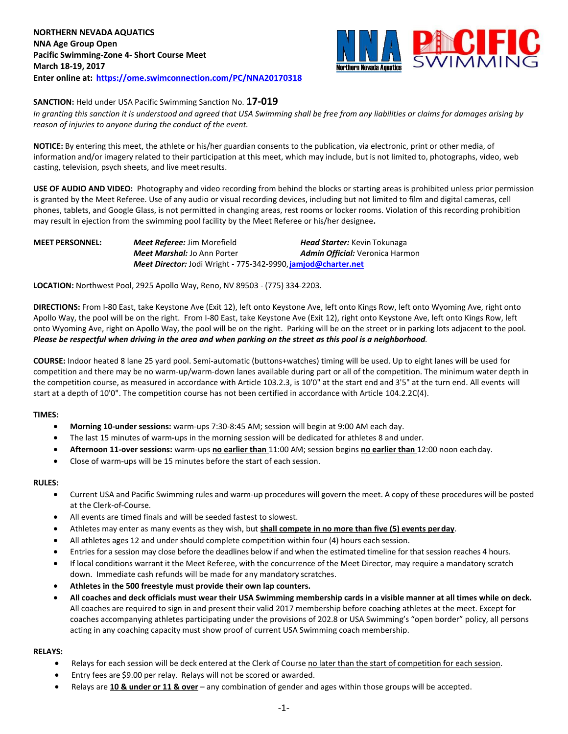

### **SANCTION:** Held under USA Pacific Swimming Sanction No. **17-019**

*In granting this sanction it is understood and agreed that USA Swimming shall be free from any liabilities or claims for damages arising by reason of injuries to anyone during the conduct of the event.*

**NOTICE:** By entering this meet, the athlete or his/her guardian consents to the publication, via electronic, print or other media, of information and/or imagery related to their participation at this meet, which may include, but is not limited to, photographs, video, web casting, television, psych sheets, and live meetresults.

**USE OF AUDIO AND VIDEO:** Photography and video recording from behind the blocks or starting areas is prohibited unless prior permission is granted by the Meet Referee. Use of any audio or visual recording devices, including but not limited to film and digital cameras, cell phones, tablets, and Google Glass, is not permitted in changing areas, rest rooms or locker rooms. Violation of this recording prohibition may result in ejection from the swimming pool facility by the Meet Referee or his/her designee**.**

| <b>MEET PERSONNEL:</b> | <b>Meet Referee: Jim Morefield</b>                            | <b>Head Starter:</b> Kevin Tokunaga    |
|------------------------|---------------------------------------------------------------|----------------------------------------|
|                        | <b>Meet Marshal:</b> Jo Ann Porter                            | <b>Admin Official:</b> Veronica Harmon |
|                        | Meet Director: Jodi Wright - 775-342-9990, jamjod@charter.net |                                        |

**LOCATION:** Northwest Pool, 2925 Apollo Way, Reno, NV 89503 - (775) 334-2203.

**DIRECTIONS:** From I-80 East, take Keystone Ave (Exit 12), left onto Keystone Ave, left onto Kings Row, left onto Wyoming Ave, right onto Apollo Way, the pool will be on the right. From I-80 East, take Keystone Ave (Exit 12), right onto Keystone Ave, left onto Kings Row, left onto Wyoming Ave, right on Apollo Way, the pool will be on the right. Parking will be on the street or in parking lots adjacent to the pool. *Please be respectful when driving in the area and when parking on the street as this pool is a neighborhood.*

**COURSE:** Indoor heated 8 lane 25 yard pool. Semi-automatic (buttons+watches) timing will be used. Up to eight lanes will be used for competition and there may be no warm-up/warm-down lanes available during part or all of the competition. The minimum water depth in the competition course, as measured in accordance with Article 103.2.3, is 10'0" at the start end and 3'5" at the turn end. All events will start at a depth of 10'0". The competition course has not been certified in accordance with Article 104.2.2C(4).

#### **TIMES:**

- **Morning 10-under sessions:** warm-ups 7:30-8:45 AM; session will begin at 9:00 AM each day.
- The last 15 minutes of warm**-**ups in the morning session will be dedicated for athletes 8 and under.
- **Afternoon 11-over sessions:** warm-ups **no earlier than** 11:00 AM; session begins **no earlier than** 12:00 noon eachday.
- Close of warm-ups will be 15 minutes before the start of each session.

#### **RULES:**

- Current USA and Pacific Swimming rules and warm-up procedures will govern the meet. A copy of these procedures will be posted at the Clerk-of-Course.
- All events are timed finals and will be seeded fastest to slowest.
- Athletes may enter as many events as they wish, but **shall compete in no more than five (5) events perday**.
- All athletes ages 12 and under should complete competition within four (4) hours each session.
- Entries for a session may close before the deadlines below if and when the estimated timeline for that session reaches 4 hours.
- If local conditions warrant it the Meet Referee, with the concurrence of the Meet Director, may require a mandatory scratch down. Immediate cash refunds will be made for any mandatory scratches.
- **Athletes in the 500 freestyle must provide their own lap counters.**
- **All coaches and deck officials must wear their USA Swimming membership cards in a visible manner at all times while on deck.**  All coaches are required to sign in and present their valid 2017 membership before coaching athletes at the meet. Except for coaches accompanying athletes participating under the provisions of 202.8 or USA Swimming's "open border" policy, all persons acting in any coaching capacity must show proof of current USA Swimming coach membership.

#### **RELAYS:**

- Relays for each session will be deck entered at the Clerk of Course no later than the start of competition for each session.
- Entry fees are \$9.00 per relay. Relays will not be scored or awarded.
- Relays are **10 & under or 11 & over** any combination of gender and ages within those groups will be accepted.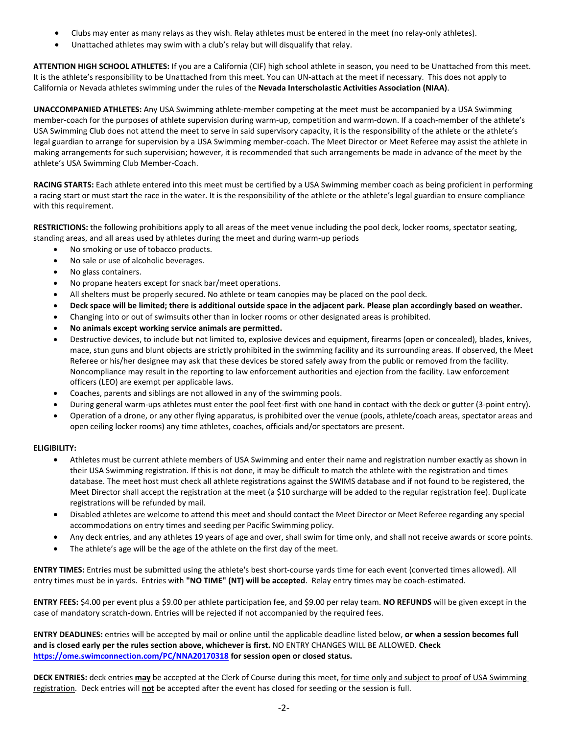- Clubs may enter as many relays as they wish. Relay athletes must be entered in the meet (no relay-only athletes).
- Unattached athletes may swim with a club's relay but will disqualify that relay.

**ATTENTION HIGH SCHOOL ATHLETES:** If you are a California (CIF) high school athlete in season, you need to be Unattached from this meet. It is the athlete's responsibility to be Unattached from this meet. You can UN-attach at the meet if necessary. This does not apply to California or Nevada athletes swimming under the rules of the **Nevada Interscholastic Activities Association (NIAA)**.

**UNACCOMPANIED ATHLETES:** Any USA Swimming athlete-member competing at the meet must be accompanied by a USA Swimming member-coach for the purposes of athlete supervision during warm-up, competition and warm-down. If a coach-member of the athlete's USA Swimming Club does not attend the meet to serve in said supervisory capacity, it is the responsibility of the athlete or the athlete's legal guardian to arrange for supervision by a USA Swimming member-coach. The Meet Director or Meet Referee may assist the athlete in making arrangements for such supervision; however, it is recommended that such arrangements be made in advance of the meet by the athlete's USA Swimming Club Member-Coach.

**RACING STARTS:** Each athlete entered into this meet must be certified by a USA Swimming member coach as being proficient in performing a racing start or must start the race in the water. It is the responsibility of the athlete or the athlete's legal guardian to ensure compliance with this requirement.

**RESTRICTIONS:** the following prohibitions apply to all areas of the meet venue including the pool deck, locker rooms, spectator seating, standing areas, and all areas used by athletes during the meet and during warm-up periods

- No smoking or use of tobacco products.
- No sale or use of alcoholic beverages.
- No glass containers.
- No propane heaters except for snack bar/meet operations.
- All shelters must be properly secured. No athlete or team canopies may be placed on the pool deck.
- **Deck space will be limited; there is additional outside space in the adjacent park. Please plan accordingly based on weather.**
- Changing into or out of swimsuits other than in locker rooms or other designated areas is prohibited.
- **No animals except working service animals are permitted.**
- Destructive devices, to include but not limited to, explosive devices and equipment, firearms (open or concealed), blades, knives, mace, stun guns and blunt objects are strictly prohibited in the swimming facility and its surrounding areas. If observed, the Meet Referee or his/her designee may ask that these devices be stored safely away from the public or removed from the facility. Noncompliance may result in the reporting to law enforcement authorities and ejection from the facility. Law enforcement officers (LEO) are exempt per applicable laws.
- Coaches, parents and siblings are not allowed in any of the swimming pools.
- During general warm-ups athletes must enter the pool feet-first with one hand in contact with the deck or gutter (3-point entry).
- Operation of a drone, or any other flying apparatus, is prohibited over the venue (pools, athlete/coach areas, spectator areas and open ceiling locker rooms) any time athletes, coaches, officials and/or spectators are present.

## **ELIGIBILITY:**

- Athletes must be current athlete members of USA Swimming and enter their name and registration number exactly as shown in their USA Swimming registration. If this is not done, it may be difficult to match the athlete with the registration and times database. The meet host must check all athlete registrations against the SWIMS database and if not found to be registered, the Meet Director shall accept the registration at the meet (a \$10 surcharge will be added to the regular registration fee). Duplicate registrations will be refunded by mail.
- Disabled athletes are welcome to attend this meet and should contact the Meet Director or Meet Referee regarding any special accommodations on entry times and seeding per Pacific Swimming policy.
- Any deck entries, and any athletes 19 years of age and over, shall swim for time only, and shall not receive awards or score points.
- The athlete's age will be the age of the athlete on the first day of the meet.

**ENTRY TIMES:** Entries must be submitted using the athlete's best short-course yards time for each event (converted times allowed). All entry times must be in yards. Entries with **"NO TIME" (NT) will be accepted**. Relay entry times may be coach-estimated.

**ENTRY FEES:** \$4.00 per event plus a \$9.00 per athlete participation fee, and \$9.00 per relay team. **NO REFUNDS** will be given except in the case of mandatory scratch-down. Entries will be rejected if not accompanied by the required fees.

**ENTRY DEADLINES:** entries will be accepted by mail or online until the applicable deadline listed below, **or when a session becomes full and is closed early per the rules section above, whichever is first.** NO ENTRY CHANGES WILL BE ALLOWED. **Check <https://ome.swimconnection.com/PC/NNA20170318> for session open or closed status.**

**DECK ENTRIES:** deck entries **may** be accepted at the Clerk of Course during this meet, for time only and subject to proof of USA Swimming registration. Deck entries will **not** be accepted after the event has closed for seeding or the session is full.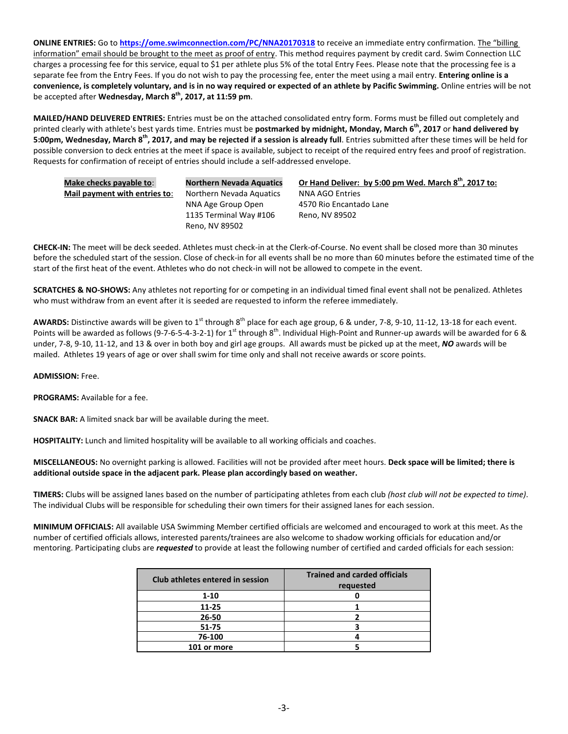**ONLINE ENTRIES:** Go to **<https://ome.swimconnection.com/PC/NNA20170318>** to receive an immediate entry confirmation. The "billing information" email should be brought to the meet as proof of entry. This method requires payment by credit card. Swim Connection LLC charges a processing fee for this service, equal to \$1 per athlete plus 5% of the total Entry Fees. Please note that the processing fee is a separate fee from the Entry Fees. If you do not wish to pay the processing fee, enter the meet using a mail entry. **Entering online is a convenience, is completely voluntary, and is in no way required or expected of an athlete by Pacific Swimming.** Online entries will be not be accepted after **Wednesday, March 8 th , 2017, at 11:59 pm**.

**MAILED/HAND DELIVERED ENTRIES:** Entries must be on the attached consolidated entry form. Forms must be filled out completely and printed clearly with athlete's best yards time. Entries must be **postmarked by midnight, Monday, March 6th, 2017** or **hand delivered by 5:00pm, Wednesday, March 8 th, 2017, and may be rejected if a session is already full**. Entries submitted after these times will be held for possible conversion to deck entries at the meet if space is available, subject to receipt of the required entry fees and proof of registration. Requests for confirmation of receipt of entries should include a self-addressed envelope.

| Make checks payable to:       | <b>Northern Nevada Aquatics</b> | Or Hand Deliver: by 5:00 pm Wed. March 8th, 2017 to: |
|-------------------------------|---------------------------------|------------------------------------------------------|
| Mail payment with entries to: | Northern Nevada Aquatics        | NNA AGO Entries                                      |
|                               | NNA Age Group Open              | 4570 Rio Encantado Lane                              |
|                               | 1135 Terminal Way #106          | Reno. NV 89502                                       |
|                               | Reno, NV 89502                  |                                                      |

**CHECK-IN:** The meet will be deck seeded. Athletes must check-in at the Clerk-of-Course. No event shall be closed more than 30 minutes before the scheduled start of the session. Close of check-in for all events shall be no more than 60 minutes before the estimated time of the start of the first heat of the event. Athletes who do not check-in will not be allowed to compete in the event.

**SCRATCHES & NO-SHOWS:** Any athletes not reporting for or competing in an individual timed final event shall not be penalized. Athletes who must withdraw from an event after it is seeded are requested to inform the referee immediately.

AWARDS: Distinctive awards will be given to 1<sup>st</sup> through 8<sup>th</sup> place for each age group, 6 & under, 7-8, 9-10, 11-12, 13-18 for each event. Points will be awarded as follows (9-7-6-5-4-3-2-1) for 1<sup>st</sup> through 8<sup>th</sup>. Individual High-Point and Runner-up awards will be awarded for 6 & under, 7-8, 9-10, 11-12, and 13 & over in both boy and girl age groups. All awards must be picked up at the meet, *NO* awards will be mailed. Athletes 19 years of age or over shall swim for time only and shall not receive awards or score points.

**ADMISSION:** Free.

**PROGRAMS:** Available for a fee.

**SNACK BAR:** A limited snack bar will be available during the meet.

**HOSPITALITY:** Lunch and limited hospitality will be available to all working officials and coaches.

**MISCELLANEOUS:** No overnight parking is allowed. Facilities will not be provided after meet hours. **Deck space will be limited; there is additional outside space in the adjacent park. Please plan accordingly based on weather.**

**TIMERS:** Clubs will be assigned lanes based on the number of participating athletes from each club *(host club will not be expected to time)*. The individual Clubs will be responsible for scheduling their own timers for their assigned lanes for each session.

**MINIMUM OFFICIALS:** All available USA Swimming Member certified officials are welcomed and encouraged to work at this meet. As the number of certified officials allows, interested parents/trainees are also welcome to shadow working officials for education and/or mentoring. Participating clubs are *requested* to provide at least the following number of certified and carded officials for each session:

| Club athletes entered in session | <b>Trained and carded officials</b><br>requested |  |  |  |
|----------------------------------|--------------------------------------------------|--|--|--|
| $1 - 10$                         |                                                  |  |  |  |
| 11-25                            |                                                  |  |  |  |
| 26-50                            |                                                  |  |  |  |
| 51-75                            |                                                  |  |  |  |
| 76-100                           |                                                  |  |  |  |
| 101 or more                      |                                                  |  |  |  |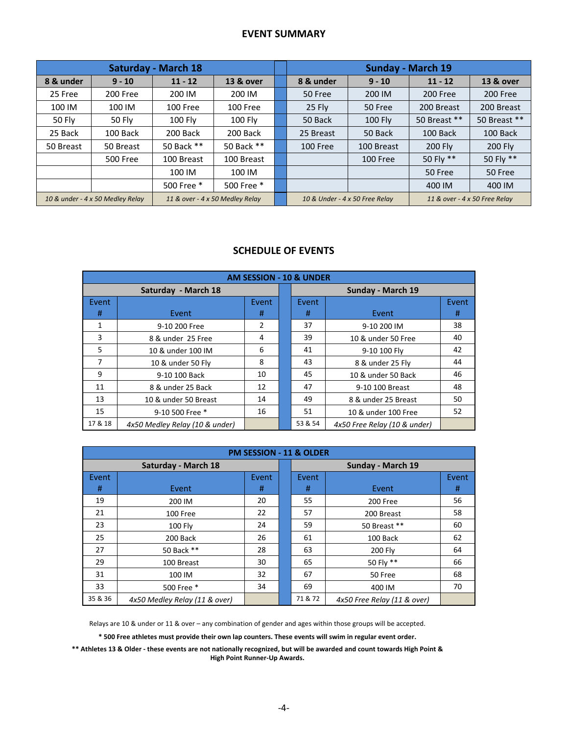## **EVENT SUMMARY**

|                                                                     |                 | <b>Saturday - March 18</b>     |                               | <b>Sunday - March 19</b> |                |              |              |  |  |
|---------------------------------------------------------------------|-----------------|--------------------------------|-------------------------------|--------------------------|----------------|--------------|--------------|--|--|
| 8 & under                                                           | $9 - 10$        | $11 - 12$                      | 13 & over                     | 8 & under                | $9 - 10$       | $11 - 12$    | 13 & over    |  |  |
| 25 Free                                                             | 200 Free        | 200 IM                         | 200 IM                        | 50 Free                  | 200 IM         | 200 Free     | 200 Free     |  |  |
| 100 IM                                                              | 100 IM          | 100 Free                       | 100 Free                      | $25$ Fly                 | 50 Free        | 200 Breast   | 200 Breast   |  |  |
| 50 Fly                                                              | 50 Fly          | <b>100 Flv</b>                 | <b>100 Flv</b>                | 50 Back                  | <b>100 Fly</b> | 50 Breast ** | 50 Breast ** |  |  |
| 25 Back                                                             | 100 Back        | 200 Back                       | 200 Back                      | 25 Breast                | 50 Back        | 100 Back     | 100 Back     |  |  |
| 50 Breast                                                           | 50 Breast       | 50 Back **                     | 50 Back **                    | 100 Free                 | 100 Breast     | 200 Fly      | 200 Fly      |  |  |
|                                                                     | <b>500 Free</b> | 100 Breast                     | 100 Breast                    |                          | 100 Free       | 50 Fly **    | 50 Fly **    |  |  |
|                                                                     |                 | 100 IM                         | 100 IM                        |                          |                | 50 Free      | 50 Free      |  |  |
|                                                                     |                 | 500 Free *                     | 500 Free *                    |                          |                | 400 IM       | 400 IM       |  |  |
| 10 & under - 4 x 50 Medley Relay<br>11 & over - 4 x 50 Medley Relay |                 | 10 & Under - 4 x 50 Free Relay | 11 & over - 4 x 50 Free Relay |                          |                |              |              |  |  |

# **SCHEDULE OF EVENTS**

| <b>AM SESSION - 10 &amp; UNDER</b> |                                |       |                   |         |                              |       |  |  |  |  |
|------------------------------------|--------------------------------|-------|-------------------|---------|------------------------------|-------|--|--|--|--|
|                                    | Saturday - March 18            |       | Sunday - March 19 |         |                              |       |  |  |  |  |
| Event                              |                                | Event | Event             |         |                              | Event |  |  |  |  |
| #                                  | Event                          | #     |                   | #       | Event                        | #     |  |  |  |  |
| 1                                  | 9-10 200 Free                  | 2     |                   | 37      | 9-10 200 IM                  | 38    |  |  |  |  |
| 3                                  | 8 & under 25 Free              | 4     |                   | 39      | 10 & under 50 Free           | 40    |  |  |  |  |
| 5                                  | 10 & under 100 IM              | 6     |                   | 41      | 9-10 100 Flv                 | 42    |  |  |  |  |
| 7                                  | 10 & under 50 Fly              | 8     |                   | 43      | 8 & under 25 Fly             | 44    |  |  |  |  |
| 9                                  | 9-10 100 Back                  | 10    |                   | 45      | 10 & under 50 Back           | 46    |  |  |  |  |
| 11                                 | 8 & under 25 Back              | 12    |                   | 47      | 9-10 100 Breast              | 48    |  |  |  |  |
| 13                                 | 10 & under 50 Breast           | 14    |                   | 49      | 8 & under 25 Breast          | 50    |  |  |  |  |
| 15                                 | 9-10 500 Free *                | 16    |                   | 51      | 10 & under 100 Free          | 52    |  |  |  |  |
| 17 & 18                            | 4x50 Medley Relay (10 & under) |       |                   | 53 & 54 | 4x50 Free Relay (10 & under) |       |  |  |  |  |

|         | PM SESSION - 11 & OLDER       |       |                   |         |                             |       |  |  |  |  |  |
|---------|-------------------------------|-------|-------------------|---------|-----------------------------|-------|--|--|--|--|--|
|         | Saturday - March 18           |       | Sunday - March 19 |         |                             |       |  |  |  |  |  |
| Event   |                               | Event |                   | Event   |                             | Event |  |  |  |  |  |
| #       | Event                         | #     |                   | #       | Event                       | #     |  |  |  |  |  |
| 19      | 200 IM                        | 20    |                   | 55      | 200 Free                    | 56    |  |  |  |  |  |
| 21      | 100 Free                      | 22    |                   | 57      | 200 Breast                  | 58    |  |  |  |  |  |
| 23      | 100 Fly                       | 24    |                   | 59      | 50 Breast **                | 60    |  |  |  |  |  |
| 25      | 200 Back                      | 26    |                   | 61      | 100 Back                    | 62    |  |  |  |  |  |
| 27      | 50 Back **                    | 28    |                   | 63      | 200 Fly                     | 64    |  |  |  |  |  |
| 29      | 100 Breast                    | 30    |                   | 65      | 50 Fly **                   | 66    |  |  |  |  |  |
| 31      | 100 IM                        | 32    |                   | 67      | 50 Free                     | 68    |  |  |  |  |  |
| 33      | 500 Free *                    | 34    |                   | 69      | 400 IM                      | 70    |  |  |  |  |  |
| 35 & 36 | 4x50 Medley Relay (11 & over) |       |                   | 71 & 72 | 4x50 Free Relay (11 & over) |       |  |  |  |  |  |

Relays are 10 & under or 11 & over – any combination of gender and ages within those groups will be accepted.

**\* 500 Free athletes must provide their own lap counters. These events will swim in regular event order.**

**\*\* Athletes 13 & Older - these events are not nationally recognized, but will be awarded and count towards High Point & High Point Runner-Up Awards.**